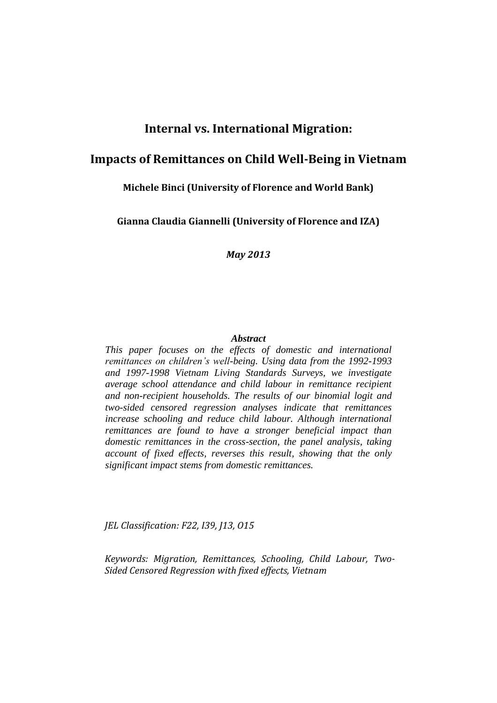# **Internal vs. International Migration:**

# **Impacts of Remittances on Child Well-Being in Vietnam**

# **Michele Binci (University of Florence and World Bank)**

**Gianna Claudia Giannelli (University of Florence and IZA)**

*May 2013*

#### *Abstract*

*This paper focuses on the effects of domestic and international remittances on children's well-being. Using data from the 1992-1993 and 1997-1998 Vietnam Living Standards Surveys, we investigate average school attendance and child labour in remittance recipient and non-recipient households. The results of our binomial logit and two-sided censored regression analyses indicate that remittances increase schooling and reduce child labour. Although international remittances are found to have a stronger beneficial impact than domestic remittances in the cross-section, the panel analysis, taking account of fixed effects, reverses this result, showing that the only significant impact stems from domestic remittances.*

*JEL Classification: F22, I39, J13, O15*

*Keywords: Migration, Remittances, Schooling, Child Labour, Two-Sided Censored Regression with fixed effects, Vietnam*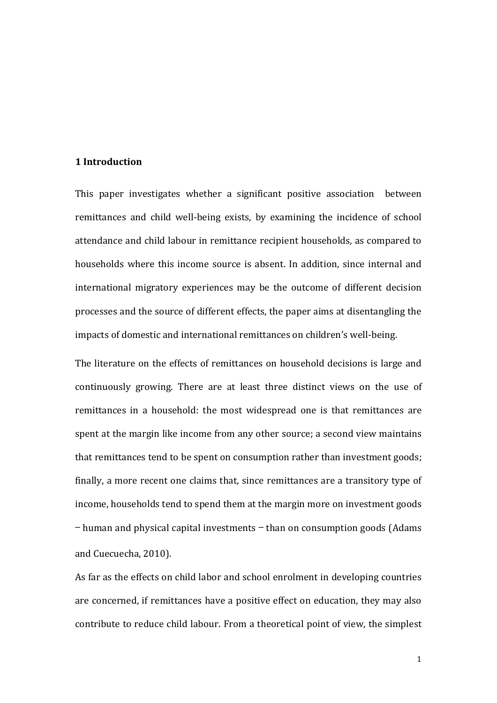## **1 Introduction**

This paper investigates whether a significant positive association between remittances and child well-being exists, by examining the incidence of school attendance and child labour in remittance recipient households, as compared to households where this income source is absent. In addition, since internal and international migratory experiences may be the outcome of different decision processes and the source of different effects, the paper aims at disentangling the impacts of domestic and international remittances on children's well-being.

The literature on the effects of remittances on household decisions is large and continuously growing. There are at least three distinct views on the use of remittances in a household: the most widespread one is that remittances are spent at the margin like income from any other source; a second view maintains that remittances tend to be spent on consumption rather than investment goods; finally, a more recent one claims that, since remittances are a transitory type of income, households tend to spend them at the margin more on investment goods — human and physical capital investments — than on consumption goods (Adams and Cuecuecha, 2010).

As far as the effects on child labor and school enrolment in developing countries are concerned, if remittances have a positive effect on education, they may also contribute to reduce child labour. From a theoretical point of view, the simplest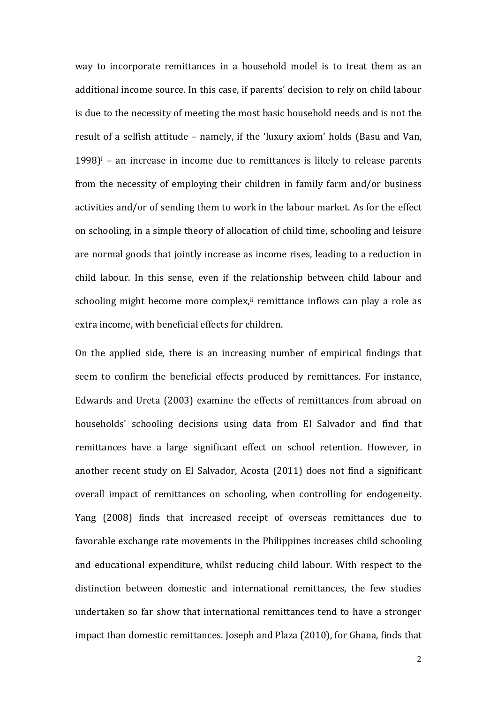way to incorporate remittances in a household model is to treat them as an additional income source. In this case, if parents' decision to rely on child labour is due to the necessity of meeting the most basic household needs and is not the result of a selfish attitude – namely, if the 'luxury axiom' holds (Basu and Van,  $1998$ <sup>i</sup> – an increase in income due to remittances is likely to release parents from the necessity of employing their children in family farm and/or business activities and/or of sending them to work in the labour market. As for the effect on schooling, in a simple theory of allocation of child time, schooling and leisure are normal goods that jointly increase as income rises, leading to a reduction in child labour. In this sense, even if the relationship between child labour and schooling might become more complex, $\mathbf{u}$  remittance inflows can play a role as extra income, with beneficial effects for children.

On the applied side, there is an increasing number of empirical findings that seem to confirm the beneficial effects produced by remittances. For instance, Edwards and Ureta (2003) examine the effects of remittances from abroad on households' schooling decisions using data from El Salvador and find that remittances have a large significant effect on school retention. However, in another recent study on El Salvador, Acosta (2011) does not find a significant overall impact of remittances on schooling, when controlling for endogeneity. Yang (2008) finds that increased receipt of overseas remittances due to favorable exchange rate movements in the Philippines increases child schooling and educational expenditure, whilst reducing child labour. With respect to the distinction between domestic and international remittances, the few studies undertaken so far show that international remittances tend to have a stronger impact than domestic remittances. Joseph and Plaza (2010), for Ghana, finds that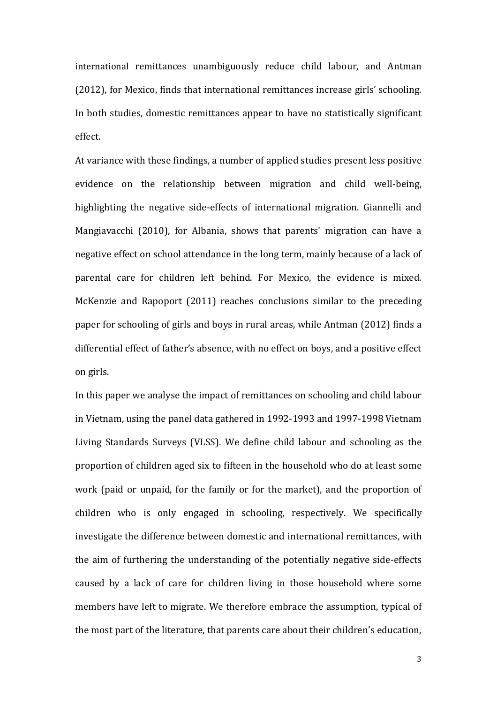international remittances unambiguously reduce child labour, and Antman (2012), for Mexico, finds that international remittances increase girls' schooling. In both studies, domestic remittances appear to have no statistically significant effect.

At variance with these findings, a number of applied studies present less positive evidence on the relationship between migration and child well-being, highlighting the negative side-effects of international migration. Giannelli and Mangiavacchi (2010), for Albania, shows that parents' migration can have a negative effect on school attendance in the long term, mainly because of a lack of parental care for children left behind. For Mexico, the evidence is mixed. McKenzie and Rapoport (2011) reaches conclusions similar to the preceding paper for schooling of girls and boys in rural areas, while Antman (2012) finds a differential effect of father's absence, with no effect on boys, and a positive effect on girls.

In this paper we analyse the impact of remittances on schooling and child labour in Vietnam, using the panel data gathered in 1992-1993 and 1997-1998 Vietnam Living Standards Surveys (VLSS). We define child labour and schooling as the proportion of children aged six to fifteen in the household who do at least some work (paid or unpaid, for the family or for the market), and the proportion of children who is only engaged in schooling, respectively. We specifically investigate the difference between domestic and international remittances, with the aim of furthering the understanding of the potentially negative side-effects caused by a lack of care for children living in those household where some members have left to migrate. We therefore embrace the assumption, typical of the most part of the literature, that parents care about their children's education,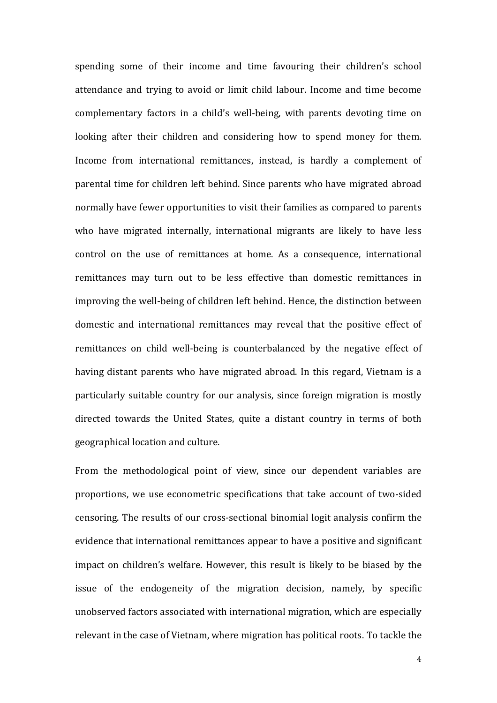spending some of their income and time favouring their children's school attendance and trying to avoid or limit child labour. Income and time become complementary factors in a child's well-being, with parents devoting time on looking after their children and considering how to spend money for them. Income from international remittances, instead, is hardly a complement of parental time for children left behind. Since parents who have migrated abroad normally have fewer opportunities to visit their families as compared to parents who have migrated internally, international migrants are likely to have less control on the use of remittances at home. As a consequence, international remittances may turn out to be less effective than domestic remittances in improving the well-being of children left behind. Hence, the distinction between domestic and international remittances may reveal that the positive effect of remittances on child well-being is counterbalanced by the negative effect of having distant parents who have migrated abroad. In this regard, Vietnam is a particularly suitable country for our analysis, since foreign migration is mostly directed towards the United States, quite a distant country in terms of both geographical location and culture.

From the methodological point of view, since our dependent variables are proportions, we use econometric specifications that take account of two-sided censoring. The results of our cross-sectional binomial logit analysis confirm the evidence that international remittances appear to have a positive and significant impact on children's welfare. However, this result is likely to be biased by the issue of the endogeneity of the migration decision, namely, by specific unobserved factors associated with international migration, which are especially relevant in the case of Vietnam, where migration has political roots. To tackle the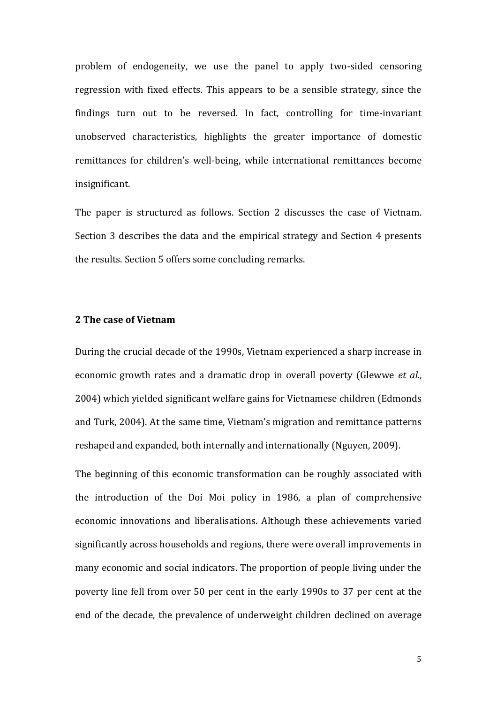problem of endogeneity, we use the panel to apply two-sided censoring regression with fixed effects. This appears to be a sensible strategy, since the findings turn out to be reversed. In fact, controlling for time-invariant unobserved characteristics, highlights the greater importance of domestic remittances for children's well-being, while international remittances become insignificant.

The paper is structured as follows. Section 2 discusses the case of Vietnam. Section 3 describes the data and the empirical strategy and Section 4 presents the results. Section 5 offers some concluding remarks.

## **2 The case of Vietnam**

During the crucial decade of the 1990s, Vietnam experienced a sharp increase in economic growth rates and a dramatic drop in overall poverty (Glewwe *et al.*, 2004) which yielded significant welfare gains for Vietnamese children (Edmonds and Turk, 2004). At the same time, Vietnam's migration and remittance patterns reshaped and expanded, both internally and internationally (Nguyen, 2009).

The beginning of this economic transformation can be roughly associated with the introduction of the Doi Moi policy in 1986, a plan of comprehensive economic innovations and liberalisations. Although these achievements varied significantly across households and regions, there were overall improvements in many economic and social indicators. The proportion of people living under the poverty line fell from over 50 per cent in the early 1990s to 37 per cent at the end of the decade, the prevalence of underweight children declined on average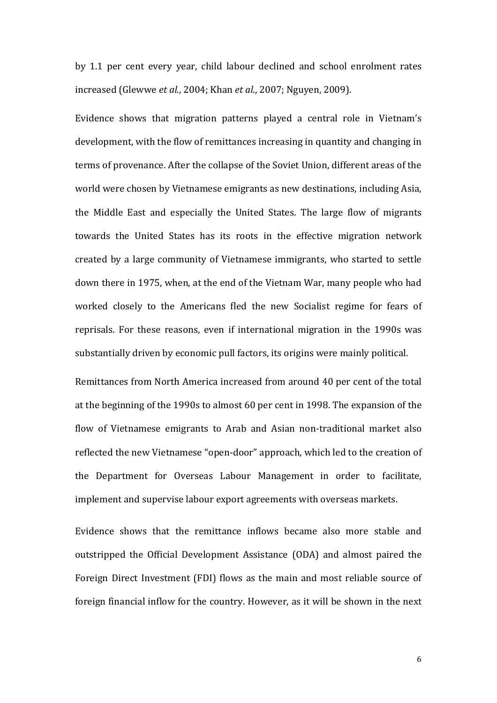by 1.1 per cent every year, child labour declined and school enrolment rates increased (Glewwe *et al.*, 2004; Khan *et al.*, 2007; Nguyen, 2009).

Evidence shows that migration patterns played a central role in Vietnam's development, with the flow of remittances increasing in quantity and changing in terms of provenance. After the collapse of the Soviet Union, different areas of the world were chosen by Vietnamese emigrants as new destinations, including Asia, the Middle East and especially the United States. The large flow of migrants towards the United States has its roots in the effective migration network created by a large community of Vietnamese immigrants, who started to settle down there in 1975, when, at the end of the Vietnam War, many people who had worked closely to the Americans fled the new Socialist regime for fears of reprisals. For these reasons, even if international migration in the 1990s was substantially driven by economic pull factors, its origins were mainly political.

Remittances from North America increased from around 40 per cent of the total at the beginning of the 1990s to almost 60 per cent in 1998. The expansion of the flow of Vietnamese emigrants to Arab and Asian non-traditional market also reflected the new Vietnamese "open-door" approach, which led to the creation of the Department for Overseas Labour Management in order to facilitate, implement and supervise labour export agreements with overseas markets.

Evidence shows that the remittance inflows became also more stable and outstripped the Official Development Assistance (ODA) and almost paired the Foreign Direct Investment (FDI) flows as the main and most reliable source of foreign financial inflow for the country. However, as it will be shown in the next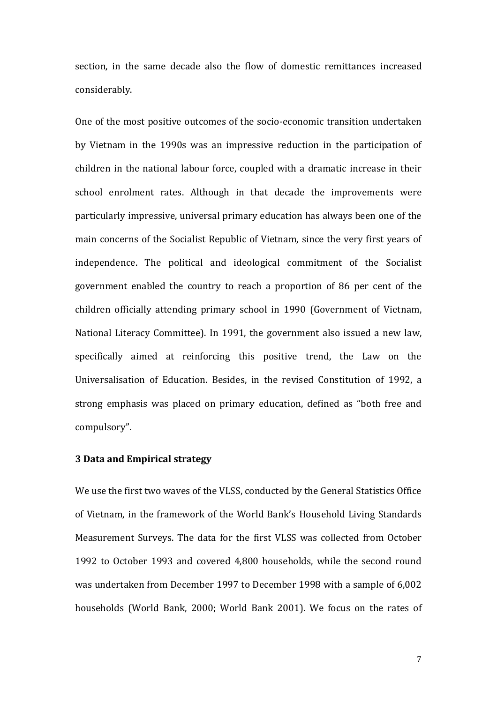section, in the same decade also the flow of domestic remittances increased considerably.

One of the most positive outcomes of the socio-economic transition undertaken by Vietnam in the 1990s was an impressive reduction in the participation of children in the national labour force, coupled with a dramatic increase in their school enrolment rates. Although in that decade the improvements were particularly impressive, universal primary education has always been one of the main concerns of the Socialist Republic of Vietnam, since the very first years of independence. The political and ideological commitment of the Socialist government enabled the country to reach a proportion of 86 per cent of the children officially attending primary school in 1990 (Government of Vietnam, National Literacy Committee). In 1991, the government also issued a new law, specifically aimed at reinforcing this positive trend, the Law on the Universalisation of Education. Besides, in the revised Constitution of 1992, a strong emphasis was placed on primary education, defined as "both free and compulsory".

#### **3 Data and Empirical strategy**

We use the first two waves of the VLSS, conducted by the General Statistics Office of Vietnam, in the framework of the World Bank's Household Living Standards Measurement Surveys. The data for the first VLSS was collected from October 1992 to October 1993 and covered 4,800 households, while the second round was undertaken from December 1997 to December 1998 with a sample of 6,002 households (World Bank, 2000; World Bank 2001). We focus on the rates of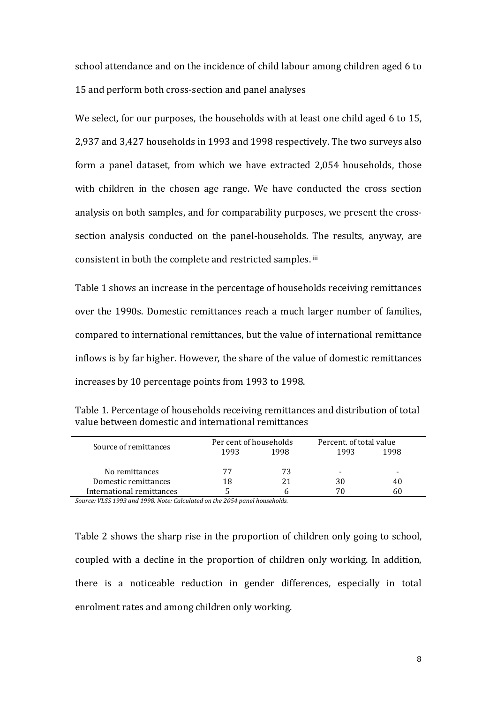school attendance and on the incidence of child labour among children aged 6 to 15 and perform both cross-section and panel analyses

We select, for our purposes, the households with at least one child aged 6 to 15, 2,937 and 3,427 households in 1993 and 1998 respectively. The two surveys also form a panel dataset, from which we have extracted 2,054 households, those with children in the chosen age range. We have conducted the cross section analysis on both samples, and for comparability purposes, we present the crosssection analysis conducted on the panel-households. The results, anyway, are consistent in both the complete and restricted samples. iii

Table 1 shows an increase in the percentage of households receiving remittances over the 1990s. Domestic remittances reach a much larger number of families, compared to international remittances, but the value of international remittance inflows is by far higher. However, the share of the value of domestic remittances increases by 10 percentage points from 1993 to 1998.

| Table 1. Percentage of households receiving remittances and distribution of total |
|-----------------------------------------------------------------------------------|
| value between domestic and international remittances                              |

|                           | Per cent of households |      | Percent, of total value |      |  |
|---------------------------|------------------------|------|-------------------------|------|--|
| Source of remittances     | 1993                   | 1998 | 1993                    | 1998 |  |
|                           |                        |      |                         |      |  |
| No remittances            | 77                     | 73   | -                       | -    |  |
| Domestic remittances      | 18                     |      | 30                      | 40   |  |
| International remittances |                        |      | 70                      | 60   |  |

*Source: VLSS 1993 and 1998. Note: Calculated on the 2054 panel households.*

Table 2 shows the sharp rise in the proportion of children only going to school, coupled with a decline in the proportion of children only working. In addition, there is a noticeable reduction in gender differences, especially in total enrolment rates and among children only working.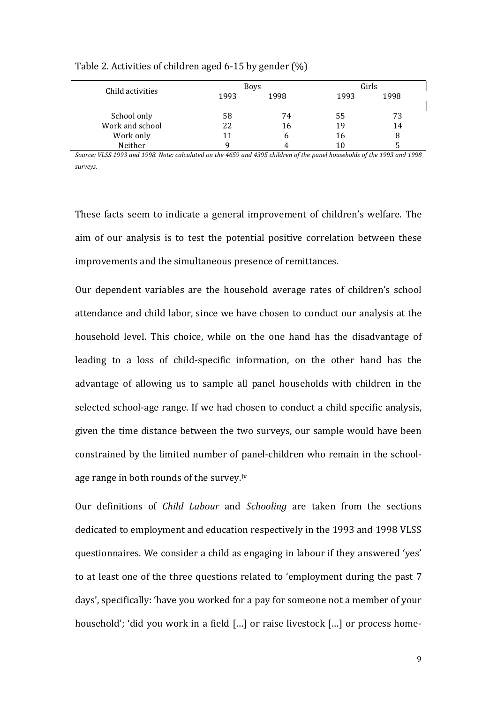|                  |      | <b>Boys</b> |      | Girls |  |
|------------------|------|-------------|------|-------|--|
| Child activities | 1993 | 1998        | 1993 | 1998  |  |
|                  |      |             |      |       |  |
| School only      | 58   | 74          | 55   | 73    |  |
| Work and school  | 22   | 16          | 19   | 14    |  |
| Work only        | 11   | h           | 16   | 8     |  |
| Neither          |      | 4           | 10   |       |  |

Table 2. Activities of children aged 6-15 by gender (%)

*Source: VLSS 1993 and 1998. Note: calculated on the 4659 and 4395 children of the panel households of the 1993 and 1998 surveys.*

These facts seem to indicate a general improvement of children's welfare. The aim of our analysis is to test the potential positive correlation between these improvements and the simultaneous presence of remittances.

Our dependent variables are the household average rates of children's school attendance and child labor, since we have chosen to conduct our analysis at the household level. This choice, while on the one hand has the disadvantage of leading to a loss of child-specific information, on the other hand has the advantage of allowing us to sample all panel households with children in the selected school-age range. If we had chosen to conduct a child specific analysis, given the time distance between the two surveys, our sample would have been constrained by the limited number of panel-children who remain in the schoolage range in both rounds of the survey.<sup>iv</sup>

Our definitions of *Child Labour* and *Schooling* are taken from the sections dedicated to employment and education respectively in the 1993 and 1998 VLSS questionnaires. We consider a child as engaging in labour if they answered 'yes' to at least one of the three questions related to 'employment during the past 7 days', specifically: 'have you worked for a pay for someone not a member of your household'; 'did you work in a field [...] or raise livestock [...] or process home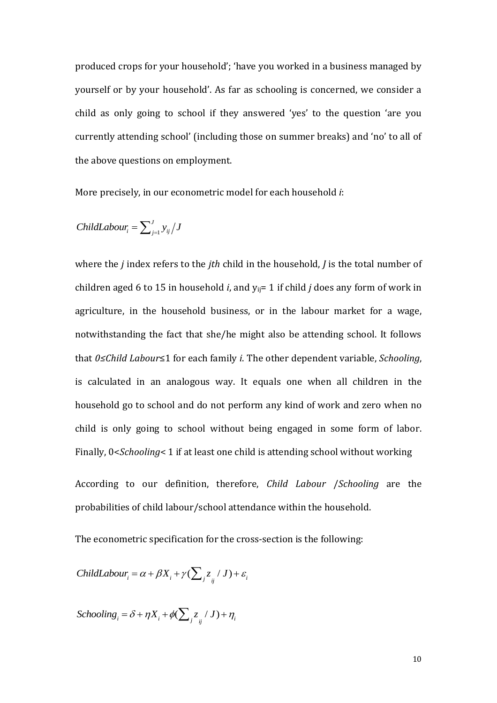produced crops for your household'; 'have you worked in a business managed by yourself or by your household'. As far as schooling is concerned, we consider a child as only going to school if they answered 'yes' to the question 'are you currently attending school' (including those on summer breaks) and 'no' to all of the above questions on employment.

More precisely, in our econometric model for each household *i*:

$$
ChildLabour_i = \sum_{j=1}^{J} y_{ij} / J
$$

where the *j* index refers to the *jth* child in the household, *J* is the total number of children aged 6 to 15 in household *i*, and  $v_{ii}$  = 1 if child *j* does any form of work in agriculture, in the household business, or in the labour market for a wage, notwithstanding the fact that she/he might also be attending school. It follows that *0≤Child Labour*≤1 for each family *i*. The other dependent variable, *Schooling*, is calculated in an analogous way. It equals one when all children in the household go to school and do not perform any kind of work and zero when no child is only going to school without being engaged in some form of labor. Finally, 0<*Schooling*< 1 if at least one child is attending school without working

According to our definition, therefore, *Child Labour* /*Schooling* are the probabilities of child labour/school attendance within the household.

The econometric specification for the cross-section is the following:

Child*Labour*<sub>i</sub> = 
$$
\alpha + \beta X_i + \gamma (\sum_j z_{ij} / J) + \varepsilon_i
$$

 $Schooling_i = \delta + \eta X_i + \phi(\sum_j z_{ij} / J) + \eta_i$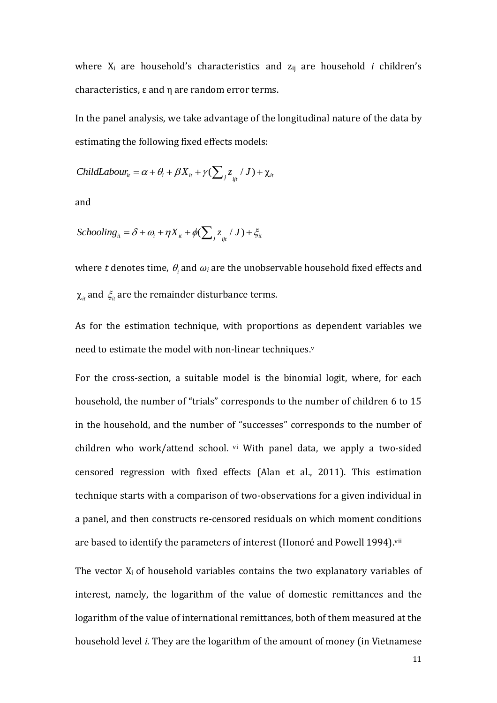where X<sub>i</sub> are household's characteristics and z<sub>ij</sub> are household *i* children's characteristics, ε and η are random error terms.

In the panel analysis, we take advantage of the longitudinal nature of the data by estimating the following fixed effects models:

$$
ChildLabour_{it} = \alpha + \theta_i + \beta X_{it} + \gamma (\sum_j z_{ij} / J) + \chi_{it}
$$

and

$$
Schooling_{it} = \delta + \omega_i + \eta X_{it} + \phi(\sum_j z_{ij} / J) + \xi_{it}
$$

where t denotes time,  $\theta_i$  and  $\omega_i$  are the unobservable household fixed effects and  $\chi_{_{it}}$  and  $\,\zeta_{_{it}}$  are the remainder disturbance terms.

As for the estimation technique, with proportions as dependent variables we need to estimate the model with non-linear techniques.<sup>v</sup>

For the cross-section, a suitable model is the binomial logit, where, for each household, the number of "trials" corresponds to the number of children 6 to 15 in the household, and the number of "successes" corresponds to the number of children who work/attend school. vi With panel data, we apply a two-sided censored regression with fixed effects (Alan et al., 2011). This estimation technique starts with a comparison of two-observations for a given individual in a panel, and then constructs re-censored residuals on which moment conditions are based to identify the parameters of interest (Honoré and Powell 1994). vii

The vector  $X_i$  of household variables contains the two explanatory variables of interest, namely, the logarithm of the value of domestic remittances and the logarithm of the value of international remittances, both of them measured at the household level *i*. They are the logarithm of the amount of money (in Vietnamese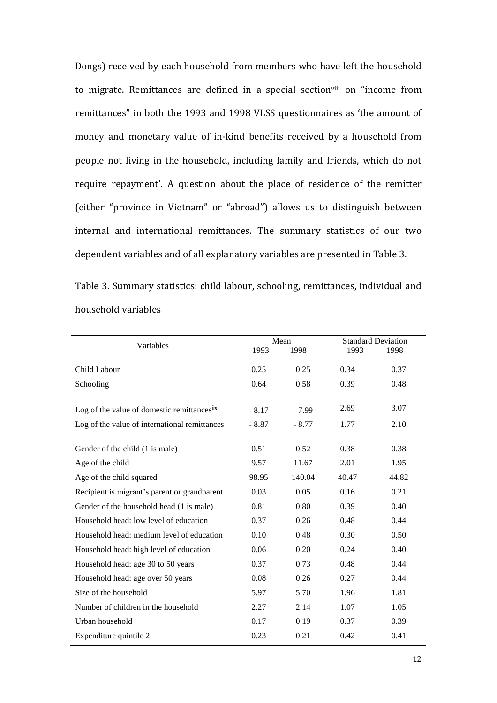Dongs) received by each household from members who have left the household to migrate. Remittances are defined in a special sectionville on "income from remittances" in both the 1993 and 1998 VLSS questionnaires as 'the amount of money and monetary value of in-kind benefits received by a household from people not living in the household, including family and friends, which do not require repayment'. A question about the place of residence of the remitter (either "province in Vietnam" or "abroad") allows us to distinguish between internal and international remittances. The summary statistics of our two dependent variables and of all explanatory variables are presented in Table 3.

Table 3. Summary statistics: child labour, schooling, remittances, individual and household variables

| Variables                                              | Mean    |         | <b>Standard Deviation</b> |       |
|--------------------------------------------------------|---------|---------|---------------------------|-------|
|                                                        | 1993    | 1998    | 1993                      | 1998  |
| Child Labour                                           | 0.25    | 0.25    | 0.34                      | 0.37  |
| Schooling                                              | 0.64    | 0.58    | 0.39                      | 0.48  |
|                                                        |         |         |                           |       |
| Log of the value of domestic remittances <sup>ix</sup> | $-8.17$ | $-7.99$ | 2.69                      | 3.07  |
| Log of the value of international remittances          | $-8.87$ | $-8.77$ | 1.77                      | 2.10  |
| Gender of the child (1 is male)                        | 0.51    | 0.52    | 0.38                      | 0.38  |
|                                                        | 9.57    | 11.67   | 2.01                      | 1.95  |
| Age of the child                                       |         |         |                           |       |
| Age of the child squared                               | 98.95   | 140.04  | 40.47                     | 44.82 |
| Recipient is migrant's parent or grandparent           | 0.03    | 0.05    | 0.16                      | 0.21  |
| Gender of the household head (1 is male)               | 0.81    | 0.80    | 0.39                      | 0.40  |
| Household head: low level of education                 | 0.37    | 0.26    | 0.48                      | 0.44  |
| Household head: medium level of education              | 0.10    | 0.48    | 0.30                      | 0.50  |
| Household head: high level of education                | 0.06    | 0.20    | 0.24                      | 0.40  |
| Household head: age 30 to 50 years                     | 0.37    | 0.73    | 0.48                      | 0.44  |
| Household head: age over 50 years                      | 0.08    | 0.26    | 0.27                      | 0.44  |
| Size of the household                                  | 5.97    | 5.70    | 1.96                      | 1.81  |
| Number of children in the household                    | 2.27    | 2.14    | 1.07                      | 1.05  |
| Urban household                                        | 0.17    | 0.19    | 0.37                      | 0.39  |
| Expenditure quintile 2                                 | 0.23    | 0.21    | 0.42                      | 0.41  |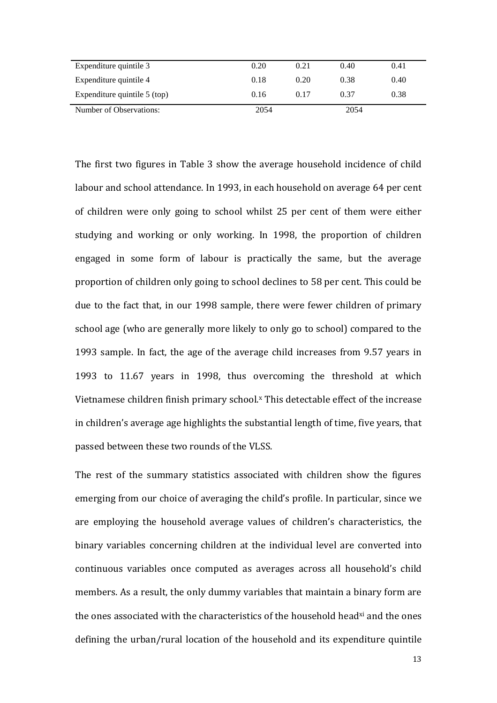| Expenditure quintile 3       | 0.20 | 0.21 | 0.40 | 0.41 |
|------------------------------|------|------|------|------|
| Expenditure quintile 4       | 0.18 | 0.20 | 0.38 | 0.40 |
| Expenditure quintile 5 (top) | 0.16 | 0.17 | 0.37 | 0.38 |
| Number of Observations:      | 2054 |      | 2054 |      |

The first two figures in Table 3 show the average household incidence of child labour and school attendance. In 1993, in each household on average 64 per cent of children were only going to school whilst 25 per cent of them were either studying and working or only working. In 1998, the proportion of children engaged in some form of labour is practically the same, but the average proportion of children only going to school declines to 58 per cent. This could be due to the fact that, in our 1998 sample, there were fewer children of primary school age (who are generally more likely to only go to school) compared to the 1993 sample. In fact, the age of the average child increases from 9.57 years in 1993 to 11.67 years in 1998, thus overcoming the threshold at which Vietnamese children finish primary school.<sup>x</sup> This detectable effect of the increase in children's average age highlights the substantial length of time, five years, that passed between these two rounds of the VLSS.

The rest of the summary statistics associated with children show the figures emerging from our choice of averaging the child's profile. In particular, since we are employing the household average values of children's characteristics, the binary variables concerning children at the individual level are converted into continuous variables once computed as averages across all household's child members. As a result, the only dummy variables that maintain a binary form are the ones associated with the characteristics of the household head<sup>xi</sup> and the ones defining the urban/rural location of the household and its expenditure quintile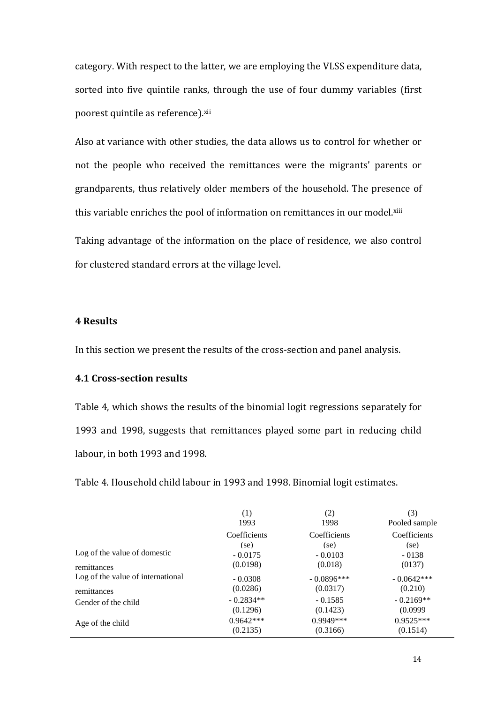category. With respect to the latter, we are employing the VLSS expenditure data, sorted into five quintile ranks, through the use of four dummy variables (first poorest quintile as reference).xii

Also at variance with other studies, the data allows us to control for whether or not the people who received the remittances were the migrants' parents or grandparents, thus relatively older members of the household. The presence of this variable enriches the pool of information on remittances in our model.¤iii

Taking advantage of the information on the place of residence, we also control for clustered standard errors at the village level.

### **4 Results**

In this section we present the results of the cross-section and panel analysis.

#### **4.1 Cross-section results**

Table 4, which shows the results of the binomial logit regressions separately for 1993 and 1998, suggests that remittances played some part in reducing child labour, in both 1993 and 1998.

(1) 1993 (2) 1998 (3) Pooled sample Coefficients (se) Coefficients (se) **Coefficients** (se) Log of the value of domestic remittances - 0.0175 (0.0198) - 0.0103 (0.018) - 0138 (0137) Log of the value of international remittances - 0.0308 (0.0286) - 0.0896\*\*\* (0.0317) - 0.0642\*\*\* (0.210) Gender of the child  $-0.2834**$ (0.1296) - 0.1585 (0.1423)  $-0.2169**$ (0.0999 Age of the child  $0.9642***$ 0.9949\*\*\* 0.9525\*\*\*

(0.2135)

(0.3166)

Table 4. Household child labour in 1993 and 1998. Binomial logit estimates.

(0.1514)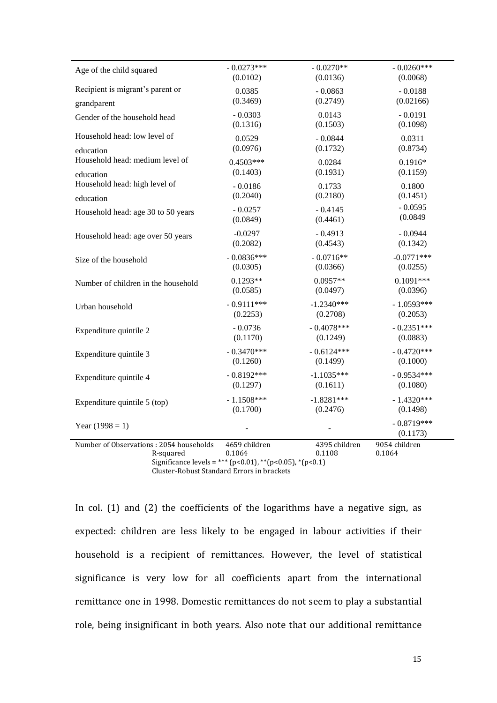| Age of the child squared                                                                                         | $-0.0273***$            | $-0.0270**$             | $-0.0260***$             |
|------------------------------------------------------------------------------------------------------------------|-------------------------|-------------------------|--------------------------|
|                                                                                                                  | (0.0102)                | (0.0136)                | (0.0068)                 |
| Recipient is migrant's parent or                                                                                 | 0.0385                  | $-0.0863$               | $-0.0188$                |
| grandparent                                                                                                      | (0.3469)                | (0.2749)                | (0.02166)                |
| Gender of the household head                                                                                     | $-0.0303$               | 0.0143                  | $-0.0191$                |
|                                                                                                                  | (0.1316)                | (0.1503)                | (0.1098)                 |
| Household head: low level of                                                                                     | 0.0529                  | $-0.0844$               | 0.0311                   |
|                                                                                                                  | (0.0976)                | (0.1732)                | (0.8734)                 |
| education<br>Household head: medium level of                                                                     | $0.4503***$             | 0.0284                  | $0.1916*$                |
| education                                                                                                        | (0.1403)                | (0.1931)                | (0.1159)                 |
| Household head: high level of                                                                                    | $-0.0186$               | 0.1733                  | 0.1800                   |
|                                                                                                                  | (0.2040)                | (0.2180)                | (0.1451)                 |
| education                                                                                                        |                         |                         |                          |
| Household head: age 30 to 50 years                                                                               | $-0.0257$               | $-0.4145$               | $-0.0595$                |
|                                                                                                                  | (0.0849)                | (0.4461)                | (0.0849)                 |
| Household head: age over 50 years                                                                                | $-0.0297$               | $-0.4913$               | $-0.0944$                |
|                                                                                                                  | (0.2082)                | (0.4543)                | (0.1342)                 |
| Size of the household                                                                                            | $-0.0836***$            | $-0.0716**$             | $-0.0771***$             |
|                                                                                                                  | (0.0305)                | (0.0366)                | (0.0255)                 |
| Number of children in the household                                                                              | $0.1293**$              | $0.0957**$              | $0.1091***$              |
|                                                                                                                  | (0.0585)                | (0.0497)                | (0.0396)                 |
| Urban household                                                                                                  | $-0.9111***$            | $-1.2340***$            | $-1.0593***$             |
|                                                                                                                  | (0.2253)                | (0.2708)                | (0.2053)                 |
| Expenditure quintile 2                                                                                           | $-0.0736$               | $-0.4078***$            | $-0.2351***$             |
|                                                                                                                  | (0.1170)                | (0.1249)                | (0.0883)                 |
| Expenditure quintile 3                                                                                           | $-0.3470***$            | $-0.6124***$            | $-0.4720***$             |
|                                                                                                                  | (0.1260)                | (0.1499)                | (0.1000)                 |
| Expenditure quintile 4                                                                                           | $-0.8192***$            | $-1.1035***$            | $-0.9534***$             |
|                                                                                                                  | (0.1297)                | (0.1611)                | (0.1080)                 |
| Expenditure quintile 5 (top)                                                                                     | $-1.1508***$            | $-1.8281***$            | $-1.4320***$             |
|                                                                                                                  | (0.1700)                | (0.2476)                | (0.1498)                 |
| Year $(1998 = 1)$                                                                                                |                         |                         | $-0.8719***$<br>(0.1173) |
| Number of Observations: 2054 households<br>R-squared<br>Significance levels = *** (p<0.01), **(p<0.05), *(p<0.1) | 4659 children<br>0.1064 | 4395 children<br>0.1108 | 9054 children<br>0.1064  |

Cluster-Robust Standard Errors in brackets

In col. (1) and (2) the coefficients of the logarithms have a negative sign, as expected: children are less likely to be engaged in labour activities if their household is a recipient of remittances. However, the level of statistical significance is very low for all coefficients apart from the international remittance one in 1998. Domestic remittances do not seem to play a substantial role, being insignificant in both years. Also note that our additional remittance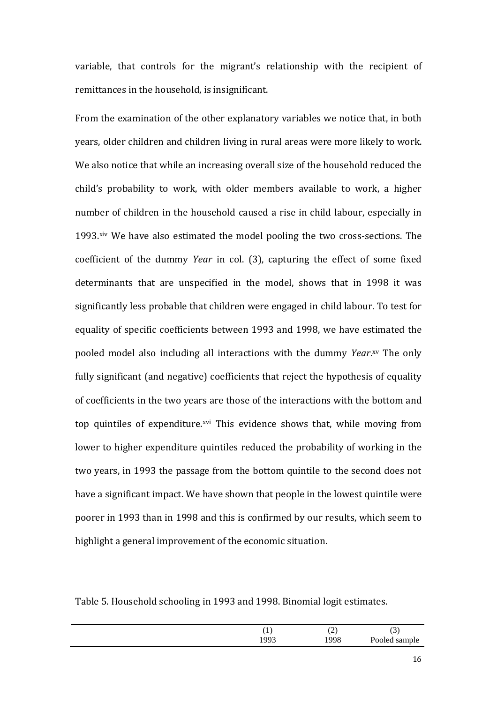variable, that controls for the migrant's relationship with the recipient of remittances in the household, is insignificant.

From the examination of the other explanatory variables we notice that, in both years, older children and children living in rural areas were more likely to work. We also notice that while an increasing overall size of the household reduced the child's probability to work, with older members available to work, a higher number of children in the household caused a rise in child labour, especially in 1993.xiv We have also estimated the model pooling the two cross-sections. The coefficient of the dummy *Year* in col. (3), capturing the effect of some fixed determinants that are unspecified in the model, shows that in 1998 it was significantly less probable that children were engaged in child labour. To test for equality of specific coefficients between 1993 and 1998, we have estimated the pooled model also including all interactions with the dummy *Year*. xv The only fully significant (and negative) coefficients that reject the hypothesis of equality of coefficients in the two years are those of the interactions with the bottom and top quintiles of expenditure.<sup>xvi</sup> This evidence shows that, while moving from lower to higher expenditure quintiles reduced the probability of working in the two years, in 1993 the passage from the bottom quintile to the second does not have a significant impact. We have shown that people in the lowest quintile were poorer in 1993 than in 1998 and this is confirmed by our results, which seem to highlight a general improvement of the economic situation.

Table 5. Household schooling in 1993 and 1998. Binomial logit estimates.

|     | $\sim$<br>سم | $\overline{\phantom{a}}$<br>ຼ |
|-----|--------------|-------------------------------|
| 993 | 1998         | Pooled sample                 |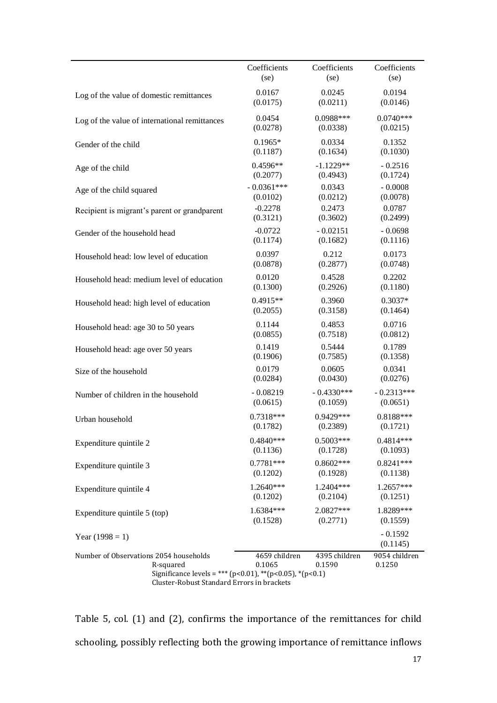|                                                                                                                                                                 | Coefficients            | Coefficients            | Coefficients            |
|-----------------------------------------------------------------------------------------------------------------------------------------------------------------|-------------------------|-------------------------|-------------------------|
|                                                                                                                                                                 | (se)                    | (se)                    | (se)                    |
| Log of the value of domestic remittances                                                                                                                        | 0.0167                  | 0.0245                  | 0.0194                  |
|                                                                                                                                                                 | (0.0175)                | (0.0211)                | (0.0146)                |
| Log of the value of international remittances                                                                                                                   | 0.0454                  | 0.0988***               | $0.0740***$             |
|                                                                                                                                                                 | (0.0278)                | (0.0338)                | (0.0215)                |
| Gender of the child                                                                                                                                             | $0.1965*$               | 0.0334                  | 0.1352                  |
|                                                                                                                                                                 | (0.1187)                | (0.1634)                | (0.1030)                |
| Age of the child                                                                                                                                                | $0.4596**$              | $-1.1229**$             | $-0.2516$               |
|                                                                                                                                                                 | (0.2077)                | (0.4943)                | (0.1724)                |
| Age of the child squared                                                                                                                                        | $-0.0361***$            | 0.0343                  | $-0.0008$               |
|                                                                                                                                                                 | (0.0102)                | (0.0212)                | (0.0078)                |
| Recipient is migrant's parent or grandparent                                                                                                                    | $-0.2278$               | 0.2473                  | 0.0787                  |
|                                                                                                                                                                 | (0.3121)                | (0.3602)                | (0.2499)                |
| Gender of the household head                                                                                                                                    | $-0.0722$               | $-0.02151$              | $-0.0698$               |
|                                                                                                                                                                 | (0.1174)                | (0.1682)                | (0.1116)                |
| Household head: low level of education                                                                                                                          | 0.0397                  | 0.212                   | 0.0173                  |
|                                                                                                                                                                 | (0.0878)                | (0.2877)                | (0.0748)                |
| Household head: medium level of education                                                                                                                       | 0.0120                  | 0.4528                  | 0.2202                  |
|                                                                                                                                                                 | (0.1300)                | (0.2926)                | (0.1180)                |
| Household head: high level of education                                                                                                                         | $0.4915**$              | 0.3960                  | $0.3037*$               |
|                                                                                                                                                                 | (0.2055)                | (0.3158)                | (0.1464)                |
| Household head: age 30 to 50 years                                                                                                                              | 0.1144                  | 0.4853                  | 0.0716                  |
|                                                                                                                                                                 | (0.0855)                | (0.7518)                | (0.0812)                |
| Household head: age over 50 years                                                                                                                               | 0.1419                  | 0.5444                  | 0.1789                  |
|                                                                                                                                                                 | (0.1906)                | (0.7585)                | (0.1358)                |
| Size of the household                                                                                                                                           | 0.0179                  | 0.0605                  | 0.0341                  |
|                                                                                                                                                                 | (0.0284)                | (0.0430)                | (0.0276)                |
| Number of children in the household                                                                                                                             | $-0.08219$              | $-0.4330***$            | $-0.2313***$            |
|                                                                                                                                                                 | (0.0615)                | (0.1059)                | (0.0651)                |
| Urban household                                                                                                                                                 | 0.7318***               | 0.9429***               | $0.8188***$             |
|                                                                                                                                                                 | (0.1782)                | (0.2389)                | (0.1721)                |
| Expenditure quintile 2                                                                                                                                          | 0.4840***               | $0.5003***$             | 0.4814***               |
|                                                                                                                                                                 | (0.1136)                | (0.1728)                | (0.1093)                |
| Expenditure quintile 3                                                                                                                                          | $0.7781***$             | $0.8602***$             | $0.8241***$             |
|                                                                                                                                                                 | (0.1202)                | (0.1928)                | (0.1138)                |
| Expenditure quintile 4                                                                                                                                          | 1.2640***               | 1.2404***               | $1.2657***$             |
|                                                                                                                                                                 | (0.1202)                | (0.2104)                | (0.1251)                |
| Expenditure quintile 5 (top)                                                                                                                                    | 1.6384***               | 2.0827***               | 1.8289***               |
|                                                                                                                                                                 | (0.1528)                | (0.2771)                | (0.1559)                |
| Year $(1998 = 1)$                                                                                                                                               |                         |                         | $-0.1592$<br>(0.1145)   |
| Number of Observations 2054 households<br>R-squared<br>Significance levels = *** (p<0.01), ** (p<0.05), * (p<0.1)<br>Cluster-Robust Standard Errors in brackets | 4659 children<br>0.1065 | 4395 children<br>0.1590 | 9054 children<br>0.1250 |

Table 5, col. (1) and (2), confirms the importance of the remittances for child schooling, possibly reflecting both the growing importance of remittance inflows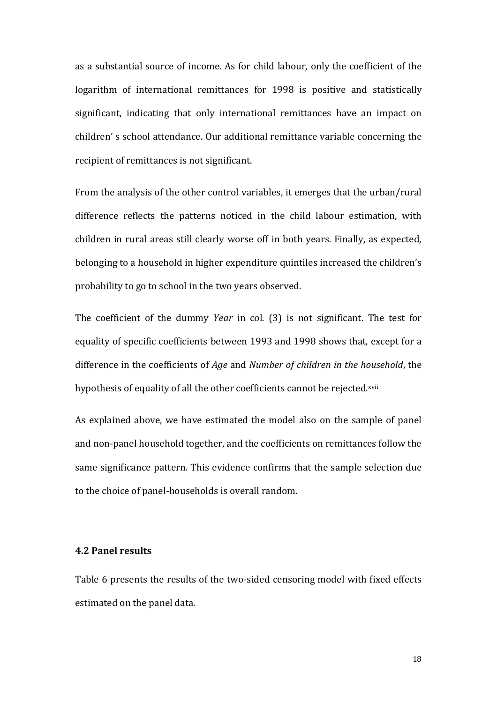as a substantial source of income. As for child labour, only the coefficient of the logarithm of international remittances for 1998 is positive and statistically significant, indicating that only international remittances have an impact on children' s school attendance. Our additional remittance variable concerning the recipient of remittances is not significant.

From the analysis of the other control variables, it emerges that the urban/rural difference reflects the patterns noticed in the child labour estimation, with children in rural areas still clearly worse off in both years. Finally, as expected, belonging to a household in higher expenditure quintiles increased the children's probability to go to school in the two years observed.

The coefficient of the dummy *Year* in col. (3) is not significant. The test for equality of specific coefficients between 1993 and 1998 shows that, except for a difference in the coefficients of *Age* and *Number of children in the household*, the hypothesis of equality of all the other coefficients cannot be rejected.xvii

As explained above, we have estimated the model also on the sample of panel and non-panel household together, and the coefficients on remittances follow the same significance pattern. This evidence confirms that the sample selection due to the choice of panel-households is overall random.

#### **4.2 Panel results**

Table 6 presents the results of the two-sided censoring model with fixed effects estimated on the panel data.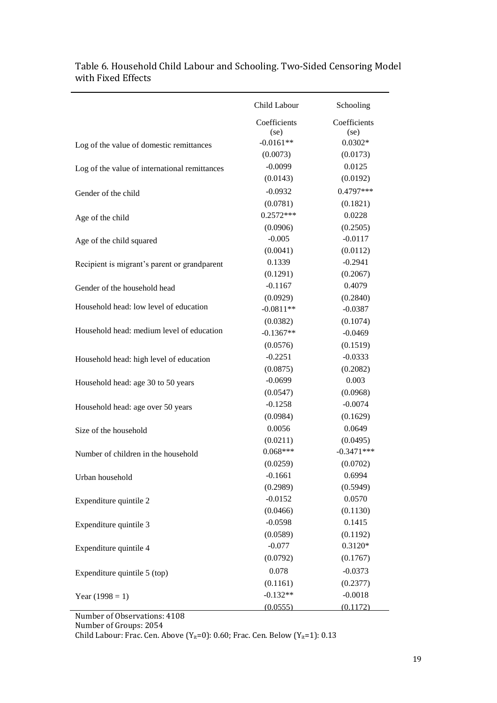|                                               | Child Labour         | Schooling             |
|-----------------------------------------------|----------------------|-----------------------|
|                                               | Coefficients         | Coefficients          |
|                                               | (se)<br>$-0.0161**$  | (se)<br>$0.0302*$     |
| Log of the value of domestic remittances      | (0.0073)             | (0.0173)              |
|                                               | $-0.0099$            | 0.0125                |
| Log of the value of international remittances | (0.0143)             | (0.0192)              |
|                                               | $-0.0932$            | 0.4797***             |
| Gender of the child                           | (0.0781)             | (0.1821)              |
|                                               | $0.2572***$          |                       |
| Age of the child                              |                      | 0.0228                |
|                                               | (0.0906)<br>$-0.005$ | (0.2505)<br>$-0.0117$ |
| Age of the child squared                      | (0.0041)             | (0.0112)              |
|                                               | 0.1339               | $-0.2941$             |
| Recipient is migrant's parent or grandparent  | (0.1291)             | (0.2067)              |
|                                               | $-0.1167$            | 0.4079                |
| Gender of the household head                  | (0.0929)             | (0.2840)              |
| Household head: low level of education        | $-0.0811**$          | $-0.0387$             |
|                                               | (0.0382)             | (0.1074)              |
| Household head: medium level of education     | $-0.1367**$          | $-0.0469$             |
|                                               | (0.0576)             | (0.1519)              |
|                                               | $-0.2251$            | $-0.0333$             |
| Household head: high level of education       | (0.0875)             | (0.2082)              |
|                                               | $-0.0699$            | 0.003                 |
| Household head: age 30 to 50 years            | (0.0547)             | (0.0968)              |
|                                               | $-0.1258$            | $-0.0074$             |
| Household head: age over 50 years             | (0.0984)             | (0.1629)              |
| Size of the household                         | 0.0056               | 0.0649                |
|                                               | (0.0211)             | (0.0495)              |
| Number of children in the household           | $0.068***$           | $-0.3471***$          |
|                                               | (0.0259)             | (0.0702)              |
| Urban household                               | $-0.1661$            | 0.6994                |
|                                               | (0.2989)             | (0.5949)              |
| Expenditure quintile 2                        | $-0.0152$            | 0.0570                |
|                                               | (0.0466)             | (0.1130)              |
| Expenditure quintile 3                        | $-0.0598$            | 0.1415                |
|                                               | (0.0589)             | (0.1192)              |
| Expenditure quintile 4                        | $-0.077$             | $0.3120*$             |
|                                               | (0.0792)             | (0.1767)              |
| Expenditure quintile 5 (top)                  | 0.078                | $-0.0373$             |
|                                               | (0.1161)             | (0.2377)              |
| Year $(1998 = 1)$                             | $-0.132**$           | $-0.0018$             |
|                                               | (0.0555)             | (0.1172)              |

# Table 6. Household Child Labour and Schooling. Two-Sided Censoring Model with Fixed Effects

Number of Observations: 4108

Number of Groups: 2054

Child Labour: Frac. Cen. Above  $(Y_{it}=0)$ : 0.60; Frac. Cen. Below  $(Y_{it}=1)$ : 0.13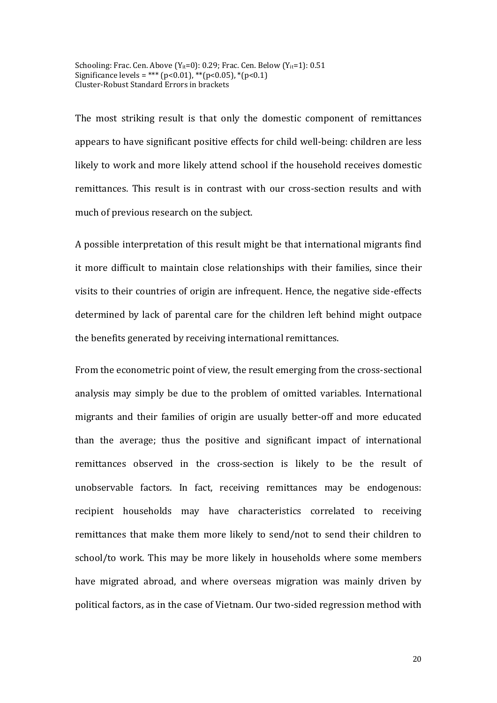Schooling: Frac. Cen. Above  $(Y_{it}=0)$ : 0.29; Frac. Cen. Below  $(Y_{it}=1)$ : 0.51 Significance levels = \*\*\* (p<0.01), \*\*(p<0.05), \*(p<0.1) Cluster-Robust Standard Errors in brackets

The most striking result is that only the domestic component of remittances appears to have significant positive effects for child well-being: children are less likely to work and more likely attend school if the household receives domestic remittances. This result is in contrast with our cross-section results and with much of previous research on the subject.

A possible interpretation of this result might be that international migrants find it more difficult to maintain close relationships with their families, since their visits to their countries of origin are infrequent. Hence, the negative side-effects determined by lack of parental care for the children left behind might outpace the benefits generated by receiving international remittances.

From the econometric point of view, the result emerging from the cross-sectional analysis may simply be due to the problem of omitted variables. International migrants and their families of origin are usually better-off and more educated than the average; thus the positive and significant impact of international remittances observed in the cross-section is likely to be the result of unobservable factors. In fact, receiving remittances may be endogenous: recipient households may have characteristics correlated to receiving remittances that make them more likely to send/not to send their children to school/to work. This may be more likely in households where some members have migrated abroad, and where overseas migration was mainly driven by political factors, as in the case of Vietnam. Our two-sided regression method with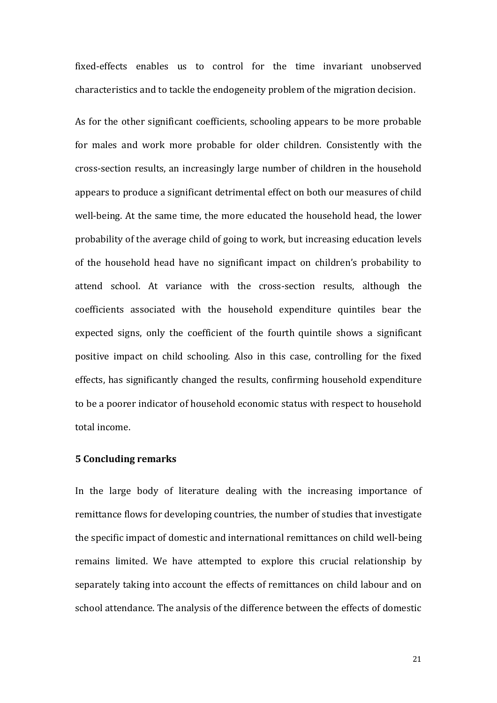fixed-effects enables us to control for the time invariant unobserved characteristics and to tackle the endogeneity problem of the migration decision.

As for the other significant coefficients, schooling appears to be more probable for males and work more probable for older children. Consistently with the cross-section results, an increasingly large number of children in the household appears to produce a significant detrimental effect on both our measures of child well-being. At the same time, the more educated the household head, the lower probability of the average child of going to work, but increasing education levels of the household head have no significant impact on children's probability to attend school. At variance with the cross-section results, although the coefficients associated with the household expenditure quintiles bear the expected signs, only the coefficient of the fourth quintile shows a significant positive impact on child schooling. Also in this case, controlling for the fixed effects, has significantly changed the results, confirming household expenditure to be a poorer indicator of household economic status with respect to household total income.

#### **5 Concluding remarks**

In the large body of literature dealing with the increasing importance of remittance flows for developing countries, the number of studies that investigate the specific impact of domestic and international remittances on child well-being remains limited. We have attempted to explore this crucial relationship by separately taking into account the effects of remittances on child labour and on school attendance. The analysis of the difference between the effects of domestic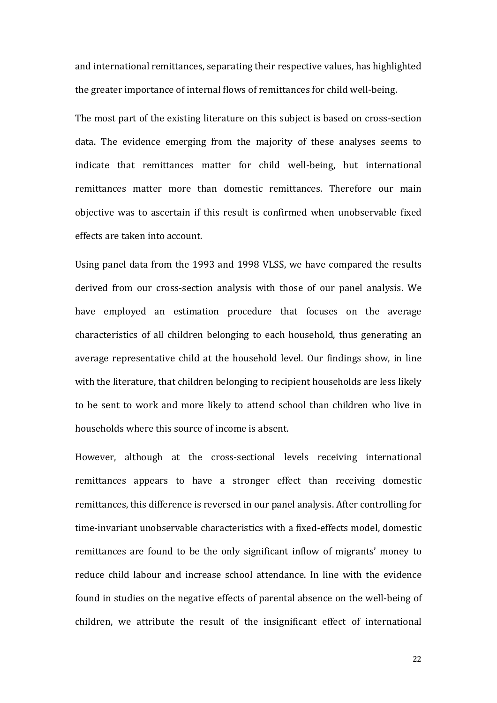and international remittances, separating their respective values, has highlighted the greater importance of internal flows of remittances for child well-being.

The most part of the existing literature on this subject is based on cross-section data. The evidence emerging from the majority of these analyses seems to indicate that remittances matter for child well-being, but international remittances matter more than domestic remittances. Therefore our main objective was to ascertain if this result is confirmed when unobservable fixed effects are taken into account.

Using panel data from the 1993 and 1998 VLSS, we have compared the results derived from our cross-section analysis with those of our panel analysis. We have employed an estimation procedure that focuses on the average characteristics of all children belonging to each household, thus generating an average representative child at the household level. Our findings show, in line with the literature, that children belonging to recipient households are less likely to be sent to work and more likely to attend school than children who live in households where this source of income is absent.

However, although at the cross-sectional levels receiving international remittances appears to have a stronger effect than receiving domestic remittances, this difference is reversed in our panel analysis. After controlling for time-invariant unobservable characteristics with a fixed-effects model, domestic remittances are found to be the only significant inflow of migrants' money to reduce child labour and increase school attendance. In line with the evidence found in studies on the negative effects of parental absence on the well-being of children, we attribute the result of the insignificant effect of international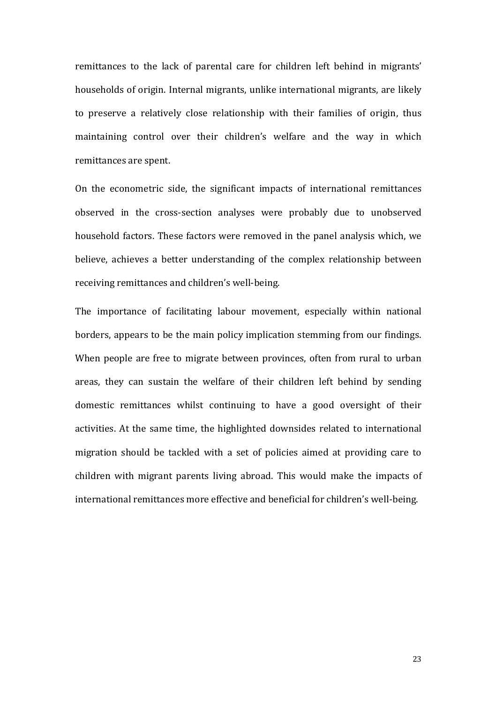remittances to the lack of parental care for children left behind in migrants' households of origin. Internal migrants, unlike international migrants, are likely to preserve a relatively close relationship with their families of origin, thus maintaining control over their children's welfare and the way in which remittances are spent.

On the econometric side, the significant impacts of international remittances observed in the cross-section analyses were probably due to unobserved household factors. These factors were removed in the panel analysis which, we believe, achieves a better understanding of the complex relationship between receiving remittances and children's well-being.

The importance of facilitating labour movement, especially within national borders, appears to be the main policy implication stemming from our findings. When people are free to migrate between provinces, often from rural to urban areas, they can sustain the welfare of their children left behind by sending domestic remittances whilst continuing to have a good oversight of their activities. At the same time, the highlighted downsides related to international migration should be tackled with a set of policies aimed at providing care to children with migrant parents living abroad. This would make the impacts of international remittances more effective and beneficial for children's well-being.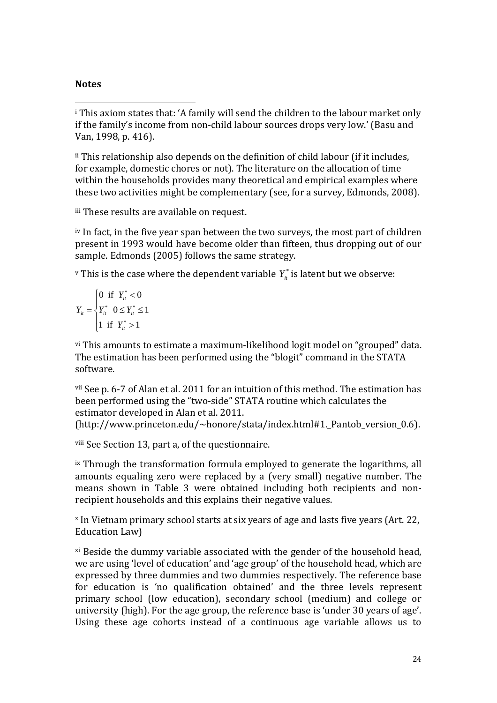# **Notes**

 $\overline{a}$ <sup>i</sup> This axiom states that: 'A family will send the children to the labour market only if the family's income from non-child labour sources drops very low.' (Basu and Van, 1998, p. 416).

ii This relationship also depends on the definition of child labour (if it includes, for example, domestic chores or not). The literature on the allocation of time within the households provides many theoretical and empirical examples where these two activities might be complementary (see, for a survey, Edmonds, 2008).

iii These results are available on request.

iv In fact, in the five year span between the two surveys, the most part of children present in 1993 would have become older than fifteen, thus dropping out of our sample. Edmonds (2005) follows the same strategy.

 $\mathbf{v}$  This is the case where the dependent variable  $Y^{*}_{\mathit{it}}$  is latent but we observe:

$$
Y_{it} = \begin{cases} 0 & \text{if } Y_{it}^* < 0 \\ Y_{it}^* & 0 \le Y_{it}^* \le 1 \\ 1 & \text{if } Y_{it}^* > 1 \end{cases}
$$

vi This amounts to estimate a maximum-likelihood logit model on "grouped" data. The estimation has been performed using the "blogit" command in the STATA software.

vii See p. 6-7 of Alan et al. 2011 for an intuition of this method. The estimation has been performed using the "two-side" STATA routine which calculates the estimator developed in Alan et al. 2011.

(http://www.princeton.edu/~honore/stata/index.html#1.\_Pantob\_version\_0.6).

viii See Section 13, part a, of the questionnaire.

ix Through the transformation formula employed to generate the logarithms, all amounts equaling zero were replaced by a (very small) negative number. The means shown in Table 3 were obtained including both recipients and nonrecipient households and this explains their negative values.

x In Vietnam primary school starts at six years of age and lasts five years (Art. 22, Education Law)

xi Beside the dummy variable associated with the gender of the household head, we are using 'level of education' and 'age group' of the household head, which are expressed by three dummies and two dummies respectively. The reference base for education is 'no qualification obtained' and the three levels represent primary school (low education), secondary school (medium) and college or university (high). For the age group, the reference base is 'under 30 years of age'. Using these age cohorts instead of a continuous age variable allows us to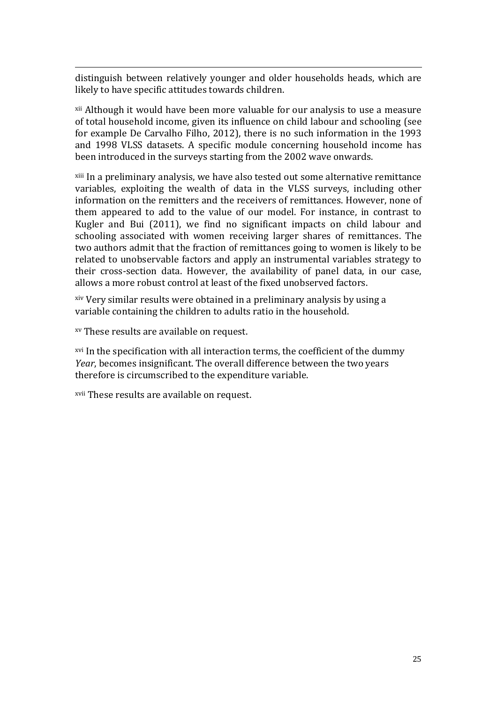$\overline{a}$ distinguish between relatively younger and older households heads, which are likely to have specific attitudes towards children.

xii Although it would have been more valuable for our analysis to use a measure of total household income, given its influence on child labour and schooling (see for example De Carvalho Filho, 2012), there is no such information in the 1993 and 1998 VLSS datasets. A specific module concerning household income has been introduced in the surveys starting from the 2002 wave onwards.

xiii In a preliminary analysis, we have also tested out some alternative remittance variables, exploiting the wealth of data in the VLSS surveys, including other information on the remitters and the receivers of remittances. However, none of them appeared to add to the value of our model. For instance, in contrast to Kugler and Bui (2011), we find no significant impacts on child labour and schooling associated with women receiving larger shares of remittances. The two authors admit that the fraction of remittances going to women is likely to be related to unobservable factors and apply an instrumental variables strategy to their cross-section data. However, the availability of panel data, in our case, allows a more robust control at least of the fixed unobserved factors.

xiv Very similar results were obtained in a preliminary analysis by using a variable containing the children to adults ratio in the household.

xv These results are available on request.

xvi In the specification with all interaction terms, the coefficient of the dummy *Year*, becomes insignificant. The overall difference between the two years therefore is circumscribed to the expenditure variable.

xvii These results are available on request.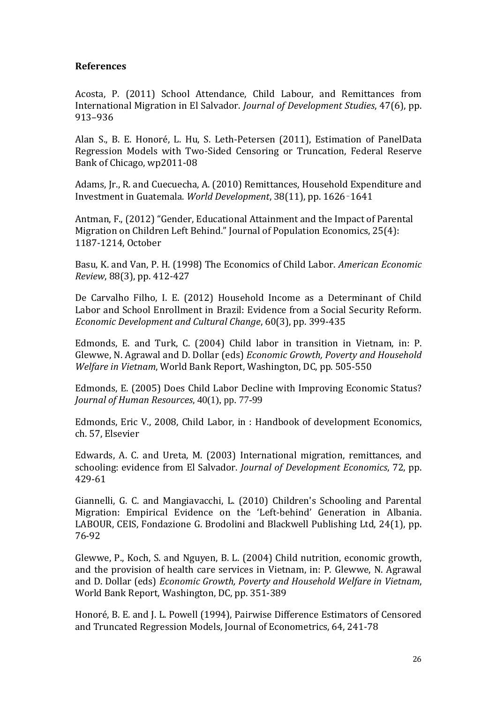# **References**

Acosta, P. (2011) School Attendance, Child Labour, and Remittances from International Migration in El Salvador. *Journal of Development Studies*, 47(6), pp. 913–936

Alan S., B. E. Honoré, L. Hu, S. Leth-Petersen (2011), Estimation of PanelData Regression Models with Two-Sided Censoring or Truncation, Federal Reserve Bank of Chicago, wp2011-08

Adams, Jr., R. and Cuecuecha, A. (2010) Remittances, Household Expenditure and Investment in Guatemala. *World Development*, 38(11), pp. 1626–1641

Antman, F., (2012) "Gender, Educational Attainment and the Impact of Parental Migration on Children Left Behind." Journal of Population Economics, 25(4): 1187-1214, October

Basu, K. and Van, P. H. (1998) The Economics of Child Labor. *American Economic Review*, 88(3), pp. 412-427

De Carvalho Filho, I. E. (2012) Household Income as a Determinant of Child Labor and School Enrollment in Brazil: Evidence from a Social Security Reform. *Economic Development and Cultural Change*, 60(3), pp. 399-435

Edmonds, E. and Turk, C. (2004) Child labor in transition in Vietnam, in: P. Glewwe, N. Agrawal and D. Dollar (eds) *Economic Growth, Poverty and Household Welfare in Vietnam*, World Bank Report, Washington, DC, pp. 505-550

Edmonds, E. (2005) Does Child Labor Decline with Improving Economic Status? *Journal of Human Resources*, 40(1), pp. 77-99

Edmonds, Eric V., 2008, Child Labor, in : Handbook of development Economics, ch. 57, Elsevier

Edwards, A. C. and Ureta, M. (2003) International migration, remittances, and schooling: evidence from El Salvador. *Journal of Development Economics*, 72, pp. 429-61

Giannelli, G. C. and Mangiavacchi, L. (2010) Children's Schooling and Parental Migration: Empirical Evidence on the 'Left‐behind' Generation in Albania. LABOUR, CEIS, Fondazione G. Brodolini and Blackwell Publishing Ltd, 24(1), pp. 76-92

Glewwe, P., Koch, S. and Nguyen, B. L. (2004) Child nutrition, economic growth, and the provision of health care services in Vietnam, in: P. Glewwe, N. Agrawal and D. Dollar (eds) *Economic Growth, Poverty and Household Welfare in Vietnam*, World Bank Report, Washington, DC, pp. 351-389

Honoré, B. E. and J. L. Powell (1994), Pairwise Difference Estimators of Censored and Truncated Regression Models, Journal of Econometrics, 64, 241-78